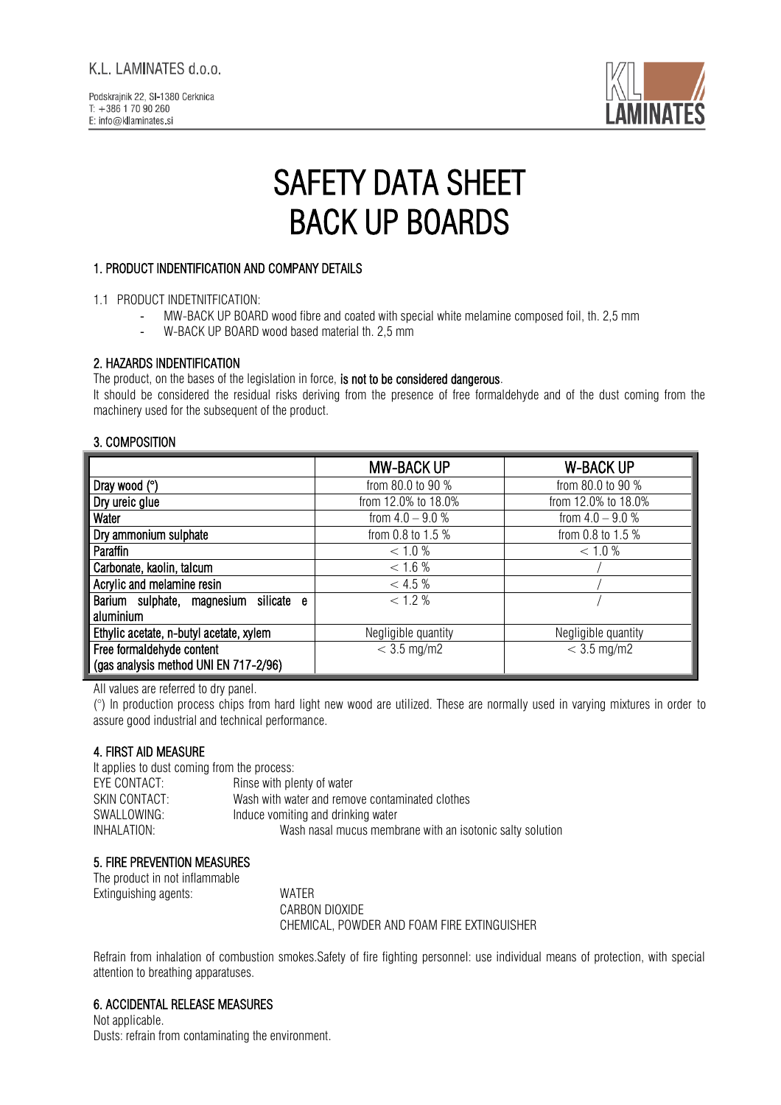

# SAFETY DATA SHEET BACK UP BOARDS

# 1. PRODUCT INDENTIFICATION AND COMPANY DETAILS

- MW-BACK UP BOARD wood fibre and coated with special white melamine composed foil, th. 2,5 mm
- W-BACK UP BOARD wood based material th. 2,5 mm

# 2. HAZARDS INDENTIFICATION

The product, on the bases of the legislation in force, is not to be considered dangerous.

It should be considered the residual risks deriving from the presence of free formaldehyde and of the dust coming from the machinery used for the subsequent of the product.

# 3. COMPOSITION

|                                          | <b>MW-BACK UP</b>   | <b>W-BACK UP</b>    |
|------------------------------------------|---------------------|---------------------|
| Dray wood $(°)$                          | from 80.0 to 90 %   | from 80.0 to 90 %   |
| Dry ureic glue                           | from 12.0% to 18.0% | from 12.0% to 18.0% |
| Water                                    | from $4.0 - 9.0 %$  | from $4.0 - 9.0 %$  |
| Dry ammonium sulphate                    | from 0.8 to 1.5 %   | from 0.8 to 1.5 %   |
| Paraffin                                 | < 1.0 %             | < 1.0 %             |
| Carbonate, kaolin, talcum                | < 1.6 %             |                     |
| Acrylic and melamine resin               | < 4.5 %             |                     |
| Barium sulphate, magnesium<br>silicate e | < 1.2 %             |                     |
| aluminium                                |                     |                     |
| Ethylic acetate, n-butyl acetate, xylem  | Negligible quantity | Negligible quantity |
| Free formaldehyde content                | $<$ 3.5 mg/m2       | $< 3.5$ mg/m2       |
| (gas analysis method UNI EN 717-2/96)    |                     |                     |

All values are referred to dry panel.

(°) In production process chips from hard light new wood are utilized. These are normally used in varying mixtures in order to assure good industrial and technical performance.

## 4. FIRST AID MEASURE

It applies to dust coming from the process: EYE CONTACT: Rinse with plenty of water SKIN CONTACT: Wash with water and remove contaminated clothes<br>SWALLOWING: SWALLOWING: loduce vomiting and drinking water SWALLOWING: Induce vomiting and drinking water<br>INHALATION: Wash nasal mucus memb Wash nasal mucus membrane with an isotonic salty solution

## 5. FIRE PREVENTION MEASURES

The product in not inflammable Extinguishing agents: WATER

CARBON DIOXIDE CHEMICAL, POWDER AND FOAM FIRE EXTINGUISHER

Refrain from inhalation of combustion smokes.Safety of fire fighting personnel: use individual means of protection, with special attention to breathing apparatuses.

## 6. ACCIDENTAL RELEASE MEASURES

Not applicable. Dusts: refrain from contaminating the environment.

<sup>1.1</sup> PRODUCT INDETNITFICATION: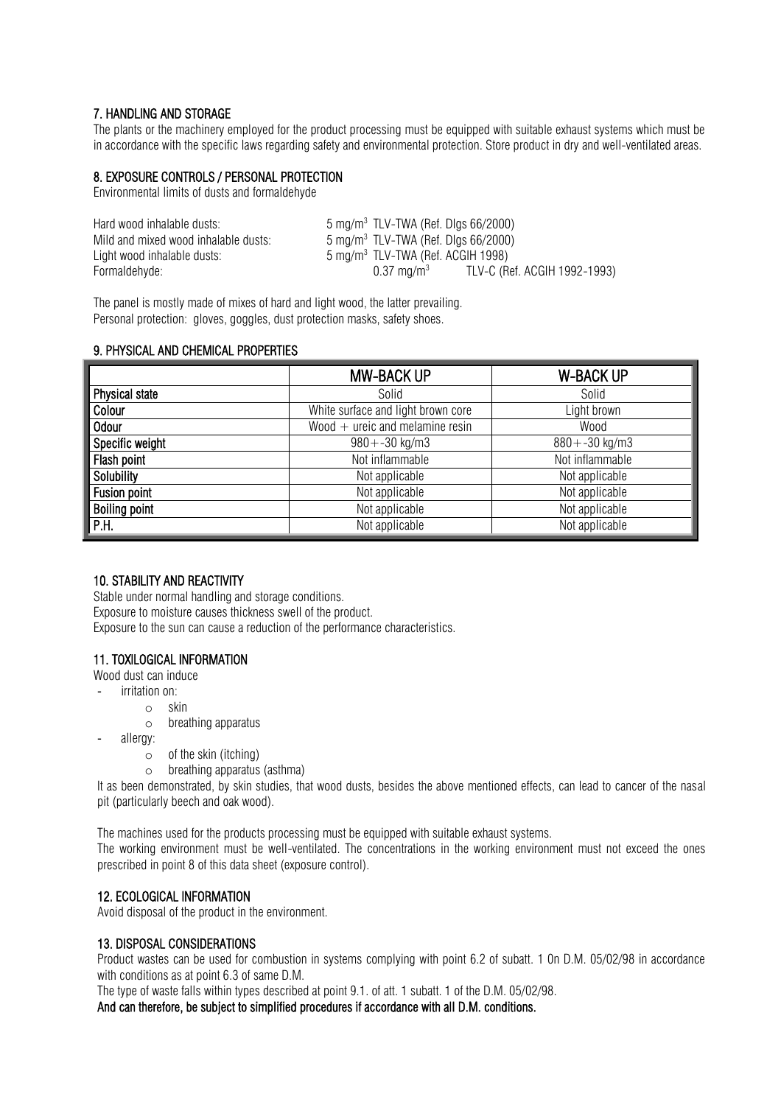#### 7. HANDLING AND STORAGE

The plants or the machinery employed for the product processing must be equipped with suitable exhaust systems which must be in accordance with the specific laws regarding safety and environmental protection. Store product in dry and well-ventilated areas.

#### 8. EXPOSURE CONTROLS / PERSONAL PROTECTION

Environmental limits of dusts and formaldehyde

| Hard wood inhalable dusts:           | $5 \,\mathrm{mg/m^3}$ TLV-TWA (Ref. Digs 66/2000)     |  |
|--------------------------------------|-------------------------------------------------------|--|
| Mild and mixed wood inhalable dusts: | $5 \,\mathrm{mg/m^3}$ TLV-TWA (Ref. Digs 66/2000)     |  |
| Light wood inhalable dusts:          | $5 \text{ mg/m}^3$ TLV-TWA (Ref. ACGIH 1998)          |  |
| Formaldehvde:                        | TLV-C (Ref. ACGIH 1992-1993)<br>$0.37 \; \rm{ma/m^3}$ |  |

The panel is mostly made of mixes of hard and light wood, the latter prevailing. Personal protection: gloves, goggles, dust protection masks, safety shoes.

#### 9. PHYSICAL AND CHEMICAL PROPERTIES

|                       | <b>MW-BACK UP</b>                  | <b>W-BACK UP</b>  |
|-----------------------|------------------------------------|-------------------|
| <b>Physical state</b> | Solid                              | Solid             |
| Colour                | White surface and light brown core | Light brown       |
| <b>Odour</b>          | Wood $+$ ureic and melamine resin  | Wood              |
| Specific weight       | $980 + -30$ kg/m3                  | $880 + -30$ kg/m3 |
| Flash point           | Not inflammable                    | Not inflammable   |
| Solubility            | Not applicable                     | Not applicable    |
| <b>Fusion point</b>   | Not applicable                     | Not applicable    |
| <b>Boiling point</b>  | Not applicable                     | Not applicable    |
| P.H.                  | Not applicable                     | Not applicable    |

#### 10. STABILITY AND REACTIVITY

Stable under normal handling and storage conditions. Exposure to moisture causes thickness swell of the product. Exposure to the sun can cause a reduction of the performance characteristics.

#### 11. TOXILOGICAL INFORMATION

Wood dust can induce

- irritation on:
	- o skin
		- o breathing apparatus
- allergy:
	- o of the skin (itching)
	- o breathing apparatus (asthma)

It as been demonstrated, by skin studies, that wood dusts, besides the above mentioned effects, can lead to cancer of the nasal pit (particularly beech and oak wood).

The machines used for the products processing must be equipped with suitable exhaust systems.

The working environment must be well-ventilated. The concentrations in the working environment must not exceed the ones prescribed in point 8 of this data sheet (exposure control).

#### 12. ECOLOGICAL INFORMATION

Avoid disposal of the product in the environment.

#### 13. DISPOSAL CONSIDERATIONS

Product wastes can be used for combustion in systems complying with point 6.2 of subatt. 1 0n D.M. 05/02/98 in accordance with conditions as at point 6.3 of same D.M.

The type of waste falls within types described at point 9.1. of att. 1 subatt. 1 of the D.M. 05/02/98.

And can therefore, be subject to simplified procedures if accordance with all D.M. conditions.